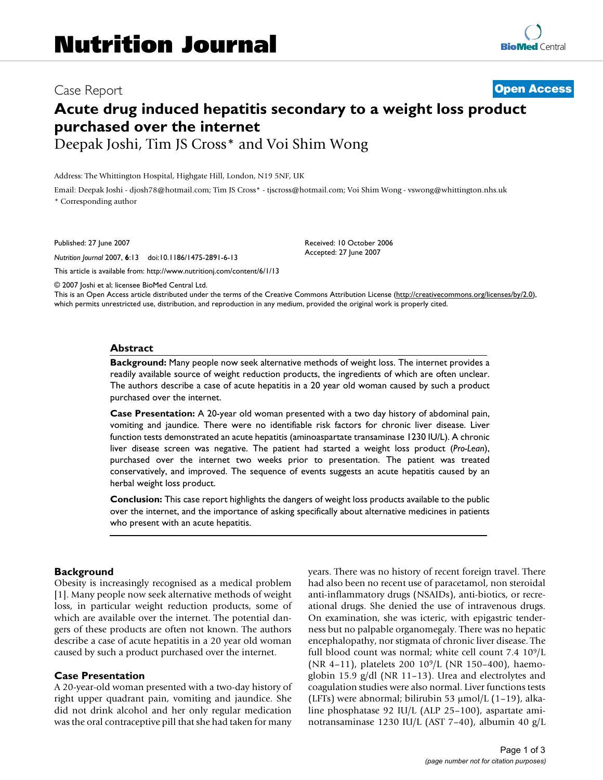# Case Report **[Open Access](http://www.biomedcentral.com/info/about/charter/) Acute drug induced hepatitis secondary to a weight loss product purchased over the internet**

Deepak Joshi, Tim JS Cross\* and Voi Shim Wong

Address: The Whittington Hospital, Highgate Hill, London, N19 5NF, UK

Email: Deepak Joshi - djosh78@hotmail.com; Tim JS Cross\* - tjscross@hotmail.com; Voi Shim Wong - vswong@whittington.nhs.uk \* Corresponding author

Published: 27 June 2007

*Nutrition Journal* 2007, **6**:13 doi:10.1186/1475-2891-6-13

[This article is available from: http://www.nutritionj.com/content/6/1/13](http://www.nutritionj.com/content/6/1/13)

© 2007 Joshi et al; licensee BioMed Central Ltd.

This is an Open Access article distributed under the terms of the Creative Commons Attribution License [\(http://creativecommons.org/licenses/by/2.0\)](http://creativecommons.org/licenses/by/2.0), which permits unrestricted use, distribution, and reproduction in any medium, provided the original work is properly cited.

Received: 10 October 2006 Accepted: 27 June 2007

#### **Abstract**

**Background:** Many people now seek alternative methods of weight loss. The internet provides a readily available source of weight reduction products, the ingredients of which are often unclear. The authors describe a case of acute hepatitis in a 20 year old woman caused by such a product purchased over the internet.

**Case Presentation:** A 20-year old woman presented with a two day history of abdominal pain, vomiting and jaundice. There were no identifiable risk factors for chronic liver disease. Liver function tests demonstrated an acute hepatitis (aminoaspartate transaminase 1230 IU/L). A chronic liver disease screen was negative. The patient had started a weight loss product (*Pro-Lean*), purchased over the internet two weeks prior to presentation. The patient was treated conservatively, and improved. The sequence of events suggests an acute hepatitis caused by an herbal weight loss product.

**Conclusion:** This case report highlights the dangers of weight loss products available to the public over the internet, and the importance of asking specifically about alternative medicines in patients who present with an acute hepatitis.

#### **Background**

Obesity is increasingly recognised as a medical problem [1]. Many people now seek alternative methods of weight loss, in particular weight reduction products, some of which are available over the internet. The potential dangers of these products are often not known. The authors describe a case of acute hepatitis in a 20 year old woman caused by such a product purchased over the internet.

#### **Case Presentation**

A 20-year-old woman presented with a two-day history of right upper quadrant pain, vomiting and jaundice. She did not drink alcohol and her only regular medication was the oral contraceptive pill that she had taken for many years. There was no history of recent foreign travel. There had also been no recent use of paracetamol, non steroidal anti-inflammatory drugs (NSAIDs), anti-biotics, or recreational drugs. She denied the use of intravenous drugs. On examination, she was icteric, with epigastric tenderness but no palpable organomegaly. There was no hepatic encephalopathy, nor stigmata of chronic liver disease. The full blood count was normal; white cell count  $7.4 \, 10^9/L$ (NR 4–11), platelets 200 109/L (NR 150–400), haemoglobin 15.9 g/dl (NR 11–13). Urea and electrolytes and coagulation studies were also normal. Liver functions tests (LFTs) were abnormal; bilirubin 53  $\mu$ mol/L (1–19), alkaline phosphatase 92 IU/L (ALP 25–100), aspartate aminotransaminase 1230 IU/L (AST 7–40), albumin 40 g/L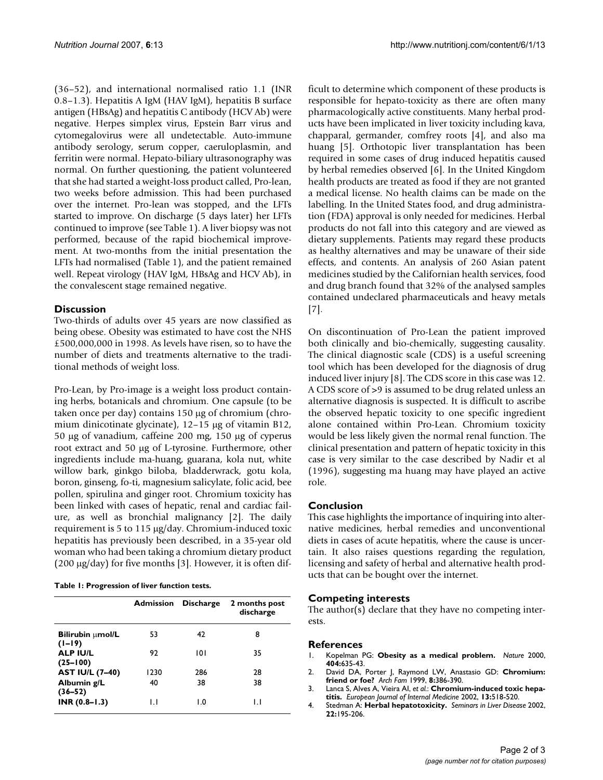(36–52), and international normalised ratio 1.1 (INR 0.8–1.3). Hepatitis A IgM (HAV IgM), hepatitis B surface antigen (HBsAg) and hepatitis C antibody (HCV Ab) were negative. Herpes simplex virus, Epstein Barr virus and cytomegalovirus were all undetectable. Auto-immune antibody serology, serum copper, caeruloplasmin, and ferritin were normal. Hepato-biliary ultrasonography was normal. On further questioning, the patient volunteered that she had started a weight-loss product called, Pro-lean, two weeks before admission. This had been purchased over the internet. Pro-lean was stopped, and the LFTs started to improve. On discharge (5 days later) her LFTs continued to improve (see Table 1). A liver biopsy was not performed, because of the rapid biochemical improvement. At two-months from the initial presentation the LFTs had normalised (Table 1), and the patient remained well. Repeat virology (HAV IgM, HBsAg and HCV Ab), in the convalescent stage remained negative.

# **Discussion**

Two-thirds of adults over 45 years are now classified as being obese. Obesity was estimated to have cost the NHS £500,000,000 in 1998. As levels have risen, so to have the number of diets and treatments alternative to the traditional methods of weight loss.

Pro-Lean, by Pro-image is a weight loss product containing herbs, botanicals and chromium. One capsule (to be taken once per day) contains 150 µg of chromium (chromium dinicotinate glycinate), 12–15 µg of vitamin B12, 50 µg of vanadium, caffeine 200 mg, 150 µg of cyperus root extract and 50 µg of L-tyrosine. Furthermore, other ingredients include ma-huang, guarana, kola nut, white willow bark, ginkgo biloba, bladderwrack, gotu kola, boron, ginseng, fo-ti, magnesium salicylate, folic acid, bee pollen, spirulina and ginger root. Chromium toxicity has been linked with cases of hepatic, renal and cardiac failure, as well as bronchial malignancy [2]. The daily requirement is 5 to 115 µg/day. Chromium-induced toxic hepatitis has previously been described, in a 35-year old woman who had been taking a chromium dietary product (200  $\mu$ g/day) for five months [3]. However, it is often dif-

|  |  | Table 1: Progression of liver function tests. |  |  |  |
|--|--|-----------------------------------------------|--|--|--|
|--|--|-----------------------------------------------|--|--|--|

|                                     | <b>Admission</b> | <b>Discharge</b> | 2 months post<br>discharge |
|-------------------------------------|------------------|------------------|----------------------------|
| <b>Bilirubin umol/L</b><br>$(1-19)$ | 53               | 42               | 8                          |
| <b>ALP IU/L</b><br>$(25-100)$       | 92               | 101              | 35                         |
| <b>AST IU/L (7-40)</b>              | 1230             | 286              | 28                         |
| Albumin g/L<br>$(36 - 52)$          | 40               | 38               | 38                         |
| $INR (0.8 - 1.3)$                   | IJ               | 1.0              | IJ                         |

ficult to determine which component of these products is responsible for hepato-toxicity as there are often many pharmacologically active constituents. Many herbal products have been implicated in liver toxicity including kava, chapparal, germander, comfrey roots [4], and also ma huang [5]. Orthotopic liver transplantation has been required in some cases of drug induced hepatitis caused by herbal remedies observed [6]. In the United Kingdom health products are treated as food if they are not granted a medical license. No health claims can be made on the labelling. In the United States food, and drug administration (FDA) approval is only needed for medicines. Herbal products do not fall into this category and are viewed as dietary supplements. Patients may regard these products as healthy alternatives and may be unaware of their side effects, and contents. An analysis of 260 Asian patent medicines studied by the Californian health services, food and drug branch found that 32% of the analysed samples contained undeclared pharmaceuticals and heavy metals [7].

On discontinuation of Pro-Lean the patient improved both clinically and bio-chemically, suggesting causality. The clinical diagnostic scale (CDS) is a useful screening tool which has been developed for the diagnosis of drug induced liver injury [8]. The CDS score in this case was 12. A CDS score of >9 is assumed to be drug related unless an alternative diagnosis is suspected. It is difficult to ascribe the observed hepatic toxicity to one specific ingredient alone contained within Pro-Lean. Chromium toxicity would be less likely given the normal renal function. The clinical presentation and pattern of hepatic toxicity in this case is very similar to the case described by Nadir et al (1996), suggesting ma huang may have played an active role.

### **Conclusion**

This case highlights the importance of inquiring into alternative medicines, herbal remedies and unconventional diets in cases of acute hepatitis, where the cause is uncertain. It also raises questions regarding the regulation, licensing and safety of herbal and alternative health products that can be bought over the internet.

## **Competing interests**

The author(s) declare that they have no competing interests.

### **References**

- 1. Kopelman PG: **[Obesity as a medical problem.](http://www.ncbi.nlm.nih.gov/entrez/query.fcgi?cmd=Retrieve&db=PubMed&dopt=Abstract&list_uids=10766250)** *Nature* 2000, **404:**635-43.
- 2. David DA, Porter J, Raymond LW, Anastasio GD: **Chromium: friend or foe?** *Arch Fam* 1999, **8:**386-390.
- 3. Lanca S, Alves A, Vieira AI, *et al.*: **[Chromium-induced toxic hepa](http://www.ncbi.nlm.nih.gov/entrez/query.fcgi?cmd=Retrieve&db=PubMed&dopt=Abstract&list_uids=12446198)[titis.](http://www.ncbi.nlm.nih.gov/entrez/query.fcgi?cmd=Retrieve&db=PubMed&dopt=Abstract&list_uids=12446198)** *European Journal of Internal Medicine* 2002, **13:**518-520.
- 4. Stedman A: **[Herbal hepatotoxicity.](http://www.ncbi.nlm.nih.gov/entrez/query.fcgi?cmd=Retrieve&db=PubMed&dopt=Abstract&list_uids=12016550)** *Seminars in Liver Disease* 2002, **22:**195-206.